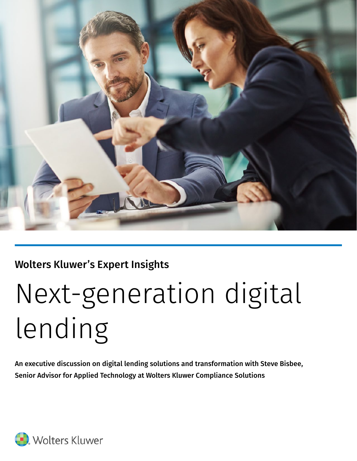

## Wolters Kluwer's Expert Insights

# Next-generation digital lending

An executive discussion on digital lending solutions and transformation with Steve Bisbee, Senior Advisor for Applied Technology at Wolters Kluwer Compliance Solutions

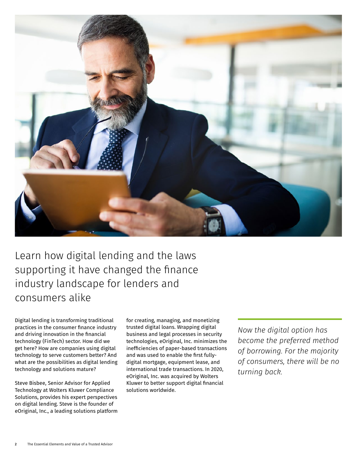

Learn how digital lending and the laws supporting it have changed the finance industry landscape for lenders and consumers alike

Digital lending is transforming traditional practices in the consumer finance industry and driving innovation in the financial technology (FinTech) sector. How did we get here? How are companies using digital technology to serve customers better? And what are the possibilities as digital lending technology and solutions mature?

Steve Bisbee, Senior Advisor for Applied Technology at Wolters Kluwer Compliance Solutions, provides his expert perspectives on digital lending. Steve is the founder of eOriginal, Inc., a leading solutions platform for creating, managing, and monetizing trusted digital loans. Wrapping digital business and legal processes in security technologies, eOriginal, Inc. minimizes the inefficiencies of paper-based transactions and was used to enable the first fullydigital mortgage, equipment lease, and international trade transactions. In 2020, eOriginal, Inc. was acquired by Wolters Kluwer to better support digital financial solutions worldwide.

*Now the digital option has become the preferred method of borrowing. For the majority of consumers, there will be no turning back.*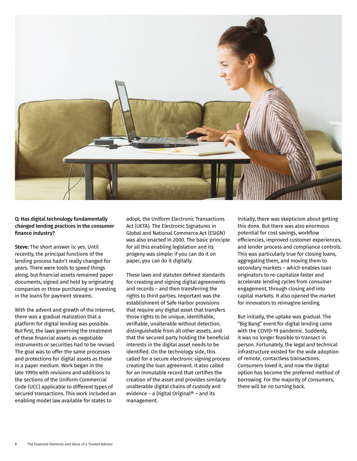

#### Q: Has digital technology fundamentally changed lending practices in the consumer finance industry?

Steve: The short answer is: yes. Until recently, the principal functions of the lending process hadn't really changed for years. There were tools to speed things along, but financial assets remained paper documents, signed and held by originating companies or those purchasing or investing in the loans for payment streams.

With the advent and growth of the Internet, there was a gradual realization that a platform for digital lending was possible. But first, the laws governing the treatment of these financial assets as negotiable instruments or securities had to be revised. The goal was to offer the same processes and protections for digital assets as those in a paper medium. Work began in the late 1990s with revisions and additions to the sections of the Uniform Commercial Code (UCC) applicable to different types of secured transactions. This work included an enabling model law available for states to

adopt, the Uniform Electronic Transactions Act (UETA). The Electronic Signatures in Global and National Commerce Act (ESIGN) was also enacted in 2000. The basic principle for all this enabling legislation and its progeny was simple: if you can do it on paper, you can do it digitally.

These laws and statutes defined standards for creating and signing digital agreements and records – and then transferring the rights to third parties. Important was the establishment of Safe Harbor provisions that require any digital asset that transfers those rights to be unique, identifiable, verifiable, unalterable without detection, distinguishable from all other assets, and that the secured party holding the beneficial interests in the digital asset needs to be identified. On the technology side, this called for a secure electronic signing process creating the loan agreement. It also called for an immutable record that certifies the creation of the asset and provides similarly unalterable digital chains of custody and evidence – a Digital Original® – and its management.

Initially, there was skepticism about getting this done. But there was also enormous potential for cost savings, workflow efficiencies, improved customer experiences, and lender process and compliance controls. This was particularly true for closing loans, aggregating them, and moving them to secondary markets – which enables loan originators to re-capitalize faster and accelerate lending cycles from consumer engagement, through closing and into capital markets. It also opened the market for innovators to reimagine lending.

But initially, the uptake was gradual. The "Big Bang" event for digital lending came with the COVID-19 pandemic. Suddenly, it was no longer feasible to transact in person. Fortunately, the legal and technical infrastructure existed for the wide adoption of remote, contactless transactions. Consumers loved it, and now the digital option has become the preferred method of borrowing. For the majority of consumers, there will be no turning back.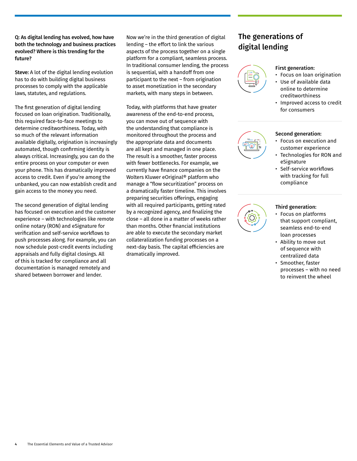Q: As digital lending has evolved, how have both the technology and business practices evolved? Where is this trending for the future?

Steve: A lot of the digital lending evolution has to do with building digital business processes to comply with the applicable laws, statutes, and regulations.

The first generation of digital lending focused on loan origination. Traditionally, this required face-to-face meetings to determine creditworthiness. Today, with so much of the relevant information available digitally, origination is increasingly automated, though confirming identity is always critical. Increasingly, you can do the entire process on your computer or even your phone. This has dramatically improved access to credit. Even if you're among the unbanked, you can now establish credit and gain access to the money you need.

The second generation of digital lending has focused on execution and the customer experience – with technologies like remote online notary (RON) and eSignature for verification and self-service workflows to push processes along. For example, you can now schedule post-credit events including appraisals and fully digital closings. All of this is tracked for compliance and all documentation is managed remotely and shared between borrower and lender.

Now we're in the third generation of digital lending – the effort to link the various aspects of the process together on a single platform for a compliant, seamless process. In traditional consumer lending, the process is sequential, with a handoff from one participant to the next – from origination to asset monetization in the secondary markets, with many steps in between.

Today, with platforms that have greater awareness of the end-to-end process, you can move out of sequence with the understanding that compliance is monitored throughout the process and the appropriate data and documents are all kept and managed in one place. The result is a smoother, faster process with fewer bottlenecks. For example, we currently have finance companies on the Wolters Kluwer eOriginal® platform who manage a "flow securitization" process on a dramatically faster timeline. This involves preparing securities offerings, engaging with all required participants, getting rated by a recognized agency, and finalizing the close – all done in a matter of weeks rather than months. Other financial institutions are able to execute the secondary market collateralization funding processes on a next-day basis. The capital efficiencies are dramatically improved.

### The generations of digital lending

![](_page_3_Figure_7.jpeg)

#### First generation:

- Focus on loan origination • Use of available data
- online to determine creditworthiness
- Improved access to credit for consumers

![](_page_3_Picture_12.jpeg)

#### Second generation:

- Focus on execution and customer experience
- Technologies for RON and eSignature
- Self-service workflows with tracking for full compliance

![](_page_3_Picture_17.jpeg)

#### Third generation:

- Focus on platforms that support compliant, seamless end-to-end loan processes
- Ability to move out of sequence with centralized data
- Smoother, faster processes – with no need to reinvent the wheel